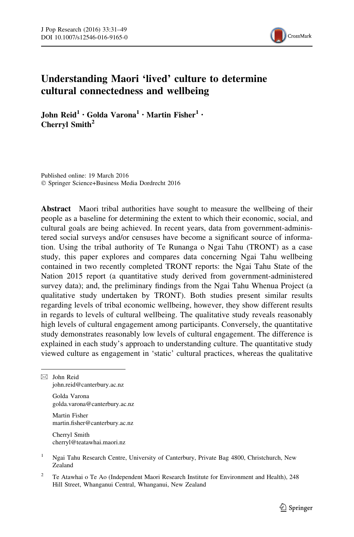

# Understanding Maori 'lived' culture to determine cultural connectedness and wellbeing

John Reid<sup>1</sup> • Golda Varona<sup>1</sup> • Martin Fisher<sup>1</sup> • Cherryl Smith<sup>2</sup>

Published online: 19 March 2016 - Springer Science+Business Media Dordrecht 2016

Abstract Maori tribal authorities have sought to measure the wellbeing of their people as a baseline for determining the extent to which their economic, social, and cultural goals are being achieved. In recent years, data from government-administered social surveys and/or censuses have become a significant source of information. Using the tribal authority of Te Runanga o Ngai Tahu (TRONT) as a case study, this paper explores and compares data concerning Ngai Tahu wellbeing contained in two recently completed TRONT reports: the Ngai Tahu State of the Nation 2015 report (a quantitative study derived from government-administered survey data); and, the preliminary findings from the Ngai Tahu Whenua Project (a qualitative study undertaken by TRONT). Both studies present similar results regarding levels of tribal economic wellbeing, however, they show different results in regards to levels of cultural wellbeing. The qualitative study reveals reasonably high levels of cultural engagement among participants. Conversely, the quantitative study demonstrates reasonably low levels of cultural engagement. The difference is explained in each study's approach to understanding culture. The quantitative study viewed culture as engagement in 'static' cultural practices, whereas the qualitative

 $\boxtimes$  John Reid john.reid@canterbury.ac.nz

> Golda Varona golda.varona@canterbury.ac.nz

> Martin Fisher martin.fisher@canterbury.ac.nz

Cherryl Smith cherryl@teatawhai.maori.nz

- <sup>1</sup> Ngai Tahu Research Centre, University of Canterbury, Private Bag 4800, Christchurch, New Zealand
- <sup>2</sup> Te Atawhai o Te Ao (Independent Maori Research Institute for Environment and Health), 248 Hill Street, Whanganui Central, Whanganui, New Zealand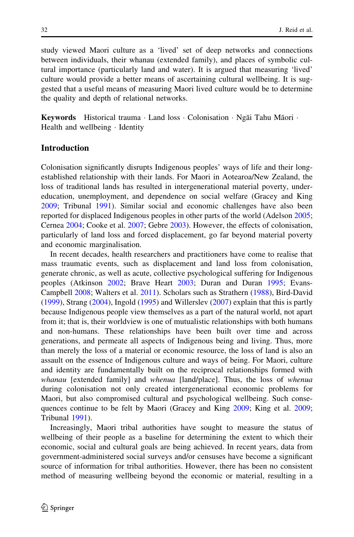study viewed Maori culture as a 'lived' set of deep networks and connections between individuals, their whanau (extended family), and places of symbolic cultural importance (particularly land and water). It is argued that measuring 'lived' culture would provide a better means of ascertaining cultural wellbeing. It is suggested that a useful means of measuring Maori lived culture would be to determine the quality and depth of relational networks.

Keywords Historical trauma · Land loss · Colonisation · Ngāi Tahu Māori · Health and wellbeing · Identity

## Introduction

Colonisation significantly disrupts Indigenous peoples' ways of life and their longestablished relationship with their lands. For Maori in Aotearoa/New Zealand, the loss of traditional lands has resulted in intergenerational material poverty, undereducation, unemployment, and dependence on social welfare (Gracey and King [2009;](#page-17-0) Tribunal [1991\)](#page-18-0). Similar social and economic challenges have also been reported for displaced Indigenous peoples in other parts of the world (Adelson [2005;](#page-16-0) Cernea [2004](#page-16-0); Cooke et al. [2007;](#page-17-0) Gebre [2003](#page-17-0)). However, the effects of colonisation, particularly of land loss and forced displacement, go far beyond material poverty and economic marginalisation.

In recent decades, health researchers and practitioners have come to realise that mass traumatic events, such as displacement and land loss from colonisation, generate chronic, as well as acute, collective psychological suffering for Indigenous peoples (Atkinson [2002;](#page-16-0) Brave Heart [2003;](#page-16-0) Duran and Duran [1995;](#page-17-0) Evans-Campbell [2008;](#page-17-0) Walters et al. [2011](#page-18-0)). Scholars such as Strathern [\(1988](#page-17-0)), Bird-David [\(1999](#page-16-0)), Strang [\(2004](#page-17-0)), Ingold [\(1995](#page-17-0)) and Willerslev [\(2007](#page-18-0)) explain that this is partly because Indigenous people view themselves as a part of the natural world, not apart from it; that is, their worldview is one of mutualistic relationships with both humans and non-humans. These relationships have been built over time and across generations, and permeate all aspects of Indigenous being and living. Thus, more than merely the loss of a material or economic resource, the loss of land is also an assault on the essence of Indigenous culture and ways of being. For Maori, culture and identity are fundamentally built on the reciprocal relationships formed with whanau [extended family] and whenua [land/place]. Thus, the loss of whenua during colonisation not only created intergenerational economic problems for Maori, but also compromised cultural and psychological wellbeing. Such consequences continue to be felt by Maori (Gracey and King [2009;](#page-17-0) King et al. [2009;](#page-17-0) Tribunal [1991\)](#page-18-0).

Increasingly, Maori tribal authorities have sought to measure the status of wellbeing of their people as a baseline for determining the extent to which their economic, social and cultural goals are being achieved. In recent years, data from government-administered social surveys and/or censuses have become a significant source of information for tribal authorities. However, there has been no consistent method of measuring wellbeing beyond the economic or material, resulting in a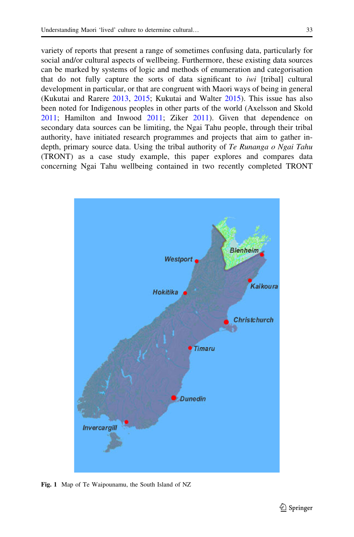<span id="page-2-0"></span>variety of reports that present a range of sometimes confusing data, particularly for social and/or cultural aspects of wellbeing. Furthermore, these existing data sources can be marked by systems of logic and methods of enumeration and categorisation that do not fully capture the sorts of data significant to iwi [tribal] cultural development in particular, or that are congruent with Maori ways of being in general (Kukutai and Rarere [2013,](#page-17-0) [2015](#page-17-0); Kukutai and Walter [2015](#page-17-0)). This issue has also been noted for Indigenous peoples in other parts of the world (Axelsson and Skold [2011;](#page-16-0) Hamilton and Inwood [2011](#page-17-0); Ziker [2011\)](#page-18-0). Given that dependence on secondary data sources can be limiting, the Ngai Tahu people, through their tribal authority, have initiated research programmes and projects that aim to gather indepth, primary source data. Using the tribal authority of Te Runanga o Ngai Tahu (TRONT) as a case study example, this paper explores and compares data concerning Ngai Tahu wellbeing contained in two recently completed TRONT



Fig. 1 Map of Te Waipounamu, the South Island of NZ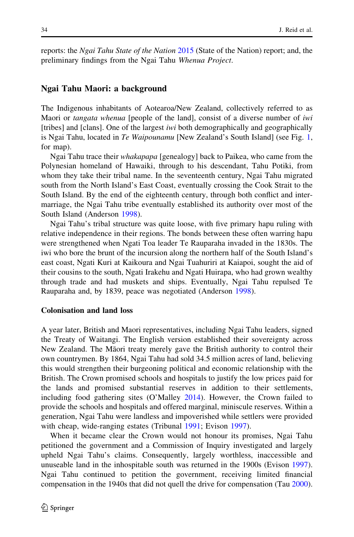reports: the Ngai Tahu State of the Nation [2015](#page-17-0) (State of the Nation) report; and, the preliminary findings from the Ngai Tahu Whenua Project.

#### Ngai Tahu Maori: a background

The Indigenous inhabitants of Aotearoa/New Zealand, collectively referred to as Maori or tangata whenua [people of the land], consist of a diverse number of iwi [tribes] and [clans]. One of the largest iwi both demographically and geographically is Ngai Tahu, located in Te Waipounamu [New Zealand's South Island] (see Fig. [1,](#page-2-0) for map).

Ngai Tahu trace their whakapapa [genealogy] back to Paikea, who came from the Polynesian homeland of Hawaiki, through to his descendant, Tahu Potiki, from whom they take their tribal name. In the seventeenth century, Ngai Tahu migrated south from the North Island's East Coast, eventually crossing the Cook Strait to the South Island. By the end of the eighteenth century, through both conflict and intermarriage, the Ngai Tahu tribe eventually established its authority over most of the South Island (Anderson [1998\)](#page-16-0).

Ngai Tahu's tribal structure was quite loose, with five primary hapu ruling with relative independence in their regions. The bonds between these often warring hapu were strengthened when Ngati Toa leader Te Rauparaha invaded in the 1830s. The iwi who bore the brunt of the incursion along the northern half of the South Island's east coast, Ngati Kuri at Kaikoura and Ngai Tuahuriri at Kaiapoi, sought the aid of their cousins to the south, Ngati Irakehu and Ngati Huirapa, who had grown wealthy through trade and had muskets and ships. Eventually, Ngai Tahu repulsed Te Rauparaha and, by 1839, peace was negotiated (Anderson [1998](#page-16-0)).

#### Colonisation and land loss

A year later, British and Maori representatives, including Ngai Tahu leaders, signed the Treaty of Waitangi. The English version established their sovereignty across New Zealand. The Māori treaty merely gave the British authority to control their own countrymen. By 1864, Ngai Tahu had sold 34.5 million acres of land, believing this would strengthen their burgeoning political and economic relationship with the British. The Crown promised schools and hospitals to justify the low prices paid for the lands and promised substantial reserves in addition to their settlements, including food gathering sites (O'Malley [2014](#page-17-0)). However, the Crown failed to provide the schools and hospitals and offered marginal, miniscule reserves. Within a generation, Ngai Tahu were landless and impoverished while settlers were provided with cheap, wide-ranging estates (Tribunal [1991](#page-18-0); Evison [1997](#page-17-0)).

When it became clear the Crown would not honour its promises, Ngai Tahu petitioned the government and a Commission of Inquiry investigated and largely upheld Ngai Tahu's claims. Consequently, largely worthless, inaccessible and unuseable land in the inhospitable south was returned in the 1900s (Evison [1997\)](#page-17-0). Ngai Tahu continued to petition the government, receiving limited financial compensation in the 1940s that did not quell the drive for compensation (Tau [2000\)](#page-17-0).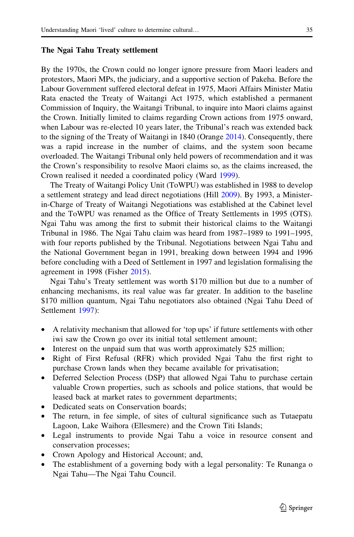#### The Ngai Tahu Treaty settlement

By the 1970s, the Crown could no longer ignore pressure from Maori leaders and protestors, Maori MPs, the judiciary, and a supportive section of Pakeha. Before the Labour Government suffered electoral defeat in 1975, Maori Affairs Minister Matiu Rata enacted the Treaty of Waitangi Act 1975, which established a permanent Commission of Inquiry, the Waitangi Tribunal, to inquire into Maori claims against the Crown. Initially limited to claims regarding Crown actions from 1975 onward, when Labour was re-elected 10 years later, the Tribunal's reach was extended back to the signing of the Treaty of Waitangi in 1840 (Orange [2014](#page-17-0)). Consequently, there was a rapid increase in the number of claims, and the system soon became overloaded. The Waitangi Tribunal only held powers of recommendation and it was the Crown's responsibility to resolve Maori claims so, as the claims increased, the Crown realised it needed a coordinated policy (Ward [1999](#page-18-0)).

The Treaty of Waitangi Policy Unit (ToWPU) was established in 1988 to develop a settlement strategy and lead direct negotiations (Hill [2009\)](#page-17-0). By 1993, a Ministerin-Charge of Treaty of Waitangi Negotiations was established at the Cabinet level and the ToWPU was renamed as the Office of Treaty Settlements in 1995 (OTS). Ngai Tahu was among the first to submit their historical claims to the Waitangi Tribunal in 1986. The Ngai Tahu claim was heard from 1987–1989 to 1991–1995, with four reports published by the Tribunal. Negotiations between Ngai Tahu and the National Government began in 1991, breaking down between 1994 and 1996 before concluding with a Deed of Settlement in 1997 and legislation formalising the agreement in 1998 (Fisher [2015](#page-17-0)).

Ngai Tahu's Treaty settlement was worth \$170 million but due to a number of enhancing mechanisms, its real value was far greater. In addition to the baseline \$170 million quantum, Ngai Tahu negotiators also obtained (Ngai Tahu Deed of Settlement [1997](#page-17-0)):

- A relativity mechanism that allowed for 'top ups' if future settlements with other iwi saw the Crown go over its initial total settlement amount;
- Interest on the unpaid sum that was worth approximately \$25 million;
- Right of First Refusal (RFR) which provided Ngai Tahu the first right to purchase Crown lands when they became available for privatisation;
- Deferred Selection Process (DSP) that allowed Ngai Tahu to purchase certain valuable Crown properties, such as schools and police stations, that would be leased back at market rates to government departments;
- Dedicated seats on Conservation boards;
- The return, in fee simple, of sites of cultural significance such as Tutaepatu Lagoon, Lake Waihora (Ellesmere) and the Crown Titi Islands;
- Legal instruments to provide Ngai Tahu a voice in resource consent and conservation processes;
- Crown Apology and Historical Account; and,
- The establishment of a governing body with a legal personality: Te Runanga o Ngai Tahu—The Ngai Tahu Council.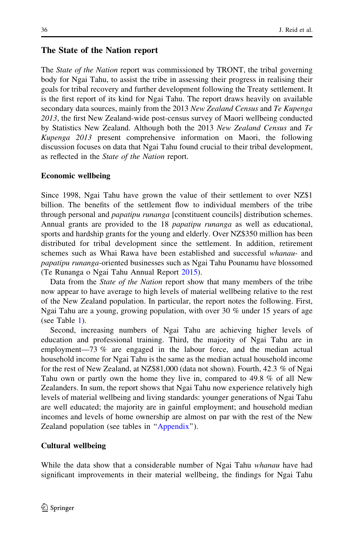# The State of the Nation report

The *State of the Nation* report was commissioned by TRONT, the tribal governing body for Ngai Tahu, to assist the tribe in assessing their progress in realising their goals for tribal recovery and further development following the Treaty settlement. It is the first report of its kind for Ngai Tahu. The report draws heavily on available secondary data sources, mainly from the 2013 New Zealand Census and Te Kupenga 2013, the first New Zealand-wide post-census survey of Maori wellbeing conducted by Statistics New Zealand. Although both the 2013 New Zealand Census and Te Kupenga 2013 present comprehensive information on Maori, the following discussion focuses on data that Ngai Tahu found crucial to their tribal development, as reflected in the State of the Nation report.

# Economic wellbeing

Since 1998, Ngai Tahu have grown the value of their settlement to over NZ\$1 billion. The benefits of the settlement flow to individual members of the tribe through personal and papatipu runanga [constituent councils] distribution schemes. Annual grants are provided to the 18 papatipu runanga as well as educational, sports and hardship grants for the young and elderly. Over NZ\$350 million has been distributed for tribal development since the settlement. In addition, retirement schemes such as Whai Rawa have been established and successful whanau- and papatipu runanga-oriented businesses such as Ngai Tahu Pounamu have blossomed (Te Runanga o Ngai Tahu Annual Report [2015](#page-18-0)).

Data from the *State of the Nation* report show that many members of the tribe now appear to have average to high levels of material wellbeing relative to the rest of the New Zealand population. In particular, the report notes the following. First, Ngai Tahu are a young, growing population, with over 30 % under 15 years of age (see Table [1\)](#page-6-0).

Second, increasing numbers of Ngai Tahu are achieving higher levels of education and professional training. Third, the majority of Ngai Tahu are in employment—73 % are engaged in the labour force, and the median actual household income for Ngai Tahu is the same as the median actual household income for the rest of New Zealand, at NZ\$81,000 (data not shown). Fourth, 42.3 % of Ngai Tahu own or partly own the home they live in, compared to 49.8 % of all New Zealanders. In sum, the report shows that Ngai Tahu now experience relatively high levels of material wellbeing and living standards: younger generations of Ngai Tahu are well educated; the majority are in gainful employment; and household median incomes and levels of home ownership are almost on par with the rest of the New Zealand population (see tables in ''[Appendix](#page-13-0)'').

# Cultural wellbeing

While the data show that a considerable number of Ngai Tahu *whanau* have had significant improvements in their material wellbeing, the findings for Ngai Tahu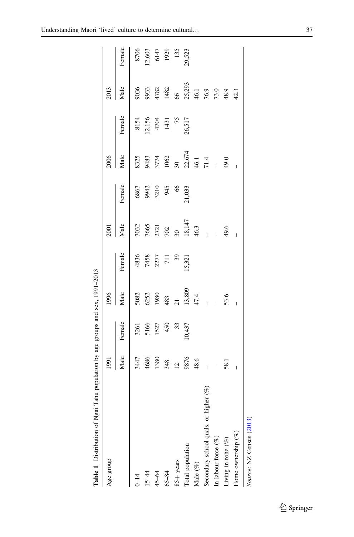<span id="page-6-0"></span>

| Table 1 Distribution of Ngai          |                      | Tahu population by age groups and sex, 1991-2013 |                             |                               |                                                  |                     |                                                        |                                        |                                                      |                          |
|---------------------------------------|----------------------|--------------------------------------------------|-----------------------------|-------------------------------|--------------------------------------------------|---------------------|--------------------------------------------------------|----------------------------------------|------------------------------------------------------|--------------------------|
| Age group                             | 1991                 |                                                  | 1996                        |                               | <b>2001</b>                                      |                     | 2006                                                   |                                        | 2013                                                 |                          |
|                                       | Male                 | Female                                           | Male                        | Female                        | Male                                             | Female              | Male                                                   | Female                                 | Male                                                 | Female                   |
| $0-14$                                |                      |                                                  |                             |                               |                                                  | 6867                |                                                        |                                        | 9036                                                 | 8706                     |
| $15 - 44$                             | 3447<br>4686<br>1380 | 3261<br>5166<br>1527                             | 5082<br>6252<br>1980<br>483 | $7458$<br>7458<br>2277<br>711 |                                                  | 9942<br>3210<br>945 |                                                        |                                        | 9933                                                 |                          |
| 45-64                                 |                      |                                                  |                             |                               |                                                  |                     |                                                        |                                        |                                                      | $12,603$<br>6147<br>1929 |
| $65 - 84$                             | 348                  | 450                                              |                             |                               | 7032<br>7665<br>702<br>702<br>30<br>30<br>18,147 |                     | 8325<br>9483<br>5774<br>1062<br>90 214<br>4514<br>71.4 | 8154<br>12,156<br>4704<br>1431<br>1431 | 4782<br>1482<br>66<br>25,293<br>46.1<br>76.9<br>78.9 |                          |
| 85+ years                             |                      | 33                                               | $\overline{21}$             | 39                            |                                                  | 66                  |                                                        |                                        |                                                      | 135                      |
| Total population                      | $\frac{12}{9876}$    | 10,437                                           | 13,809                      | 15,321                        |                                                  | 21,033              |                                                        | 26,517                                 |                                                      | 29,523                   |
| Male (%)                              |                      |                                                  | 47.4                        |                               | 46.3                                             |                     |                                                        |                                        |                                                      |                          |
| Secondary school quals. or higher (%) | $\overline{1}$       |                                                  |                             |                               |                                                  |                     |                                                        |                                        |                                                      |                          |
| In labour force $(\%)$                |                      |                                                  | $\frac{1}{2}$               |                               | $\overline{1}$                                   |                     | $\frac{1}{\sqrt{2}}$                                   |                                        |                                                      |                          |
| Living in rohe (%)                    | 58.1                 |                                                  | 53.6                        |                               | 49.6                                             |                     | 49.0                                                   |                                        |                                                      |                          |
| Home ownership $(\%)$                 | Ï                    |                                                  | Ï                           |                               | Ï                                                |                     |                                                        |                                        | 42.3                                                 |                          |
| Source: NZ Census (2013)              |                      |                                                  |                             |                               |                                                  |                     |                                                        |                                        |                                                      |                          |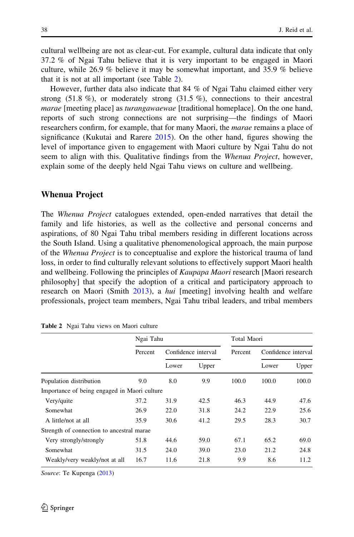cultural wellbeing are not as clear-cut. For example, cultural data indicate that only 37.2 % of Ngai Tahu believe that it is very important to be engaged in Maori culture, while 26.9 % believe it may be somewhat important, and 35.9 % believe that it is not at all important (see Table 2).

However, further data also indicate that 84 % of Ngai Tahu claimed either very strong  $(51.8\%)$ , or moderately strong  $(31.5\%)$ , connections to their ancestral marae [meeting place] as turangawaewae [traditional homeplace]. On the one hand, reports of such strong connections are not surprising—the findings of Maori researchers confirm, for example, that for many Maori, the *marae* remains a place of significance (Kukutai and Rarere [2015\)](#page-17-0). On the other hand, figures showing the level of importance given to engagement with Maori culture by Ngai Tahu do not seem to align with this. Qualitative findings from the Whenua Project, however, explain some of the deeply held Ngai Tahu views on culture and wellbeing.

#### Whenua Project

The Whenua Project catalogues extended, open-ended narratives that detail the family and life histories, as well as the collective and personal concerns and aspirations, of 80 Ngai Tahu tribal members residing in different locations across the South Island. Using a qualitative phenomenological approach, the main purpose of the Whenua Project is to conceptualise and explore the historical trauma of land loss, in order to find culturally relevant solutions to effectively support Maori health and wellbeing. Following the principles of Kaupapa Maori research [Maori research philosophy] that specify the adoption of a critical and participatory approach to research on Maori (Smith [2013](#page-17-0)), a *hui* [meeting] involving health and welfare professionals, project team members, Ngai Tahu tribal leaders, and tribal members

|                                              | Ngai Tahu |       |                     | Total Maori |       |                     |
|----------------------------------------------|-----------|-------|---------------------|-------------|-------|---------------------|
|                                              | Percent   |       | Confidence interval | Percent     |       | Confidence interval |
|                                              |           | Lower | Upper               |             | Lower | Upper               |
| Population distribution                      | 9.0       | 8.0   | 9.9                 | 100.0       | 100.0 | 100.0               |
| Importance of being engaged in Maori culture |           |       |                     |             |       |                     |
| Very/quite                                   | 37.2      | 31.9  | 42.5                | 46.3        | 44.9  | 47.6                |
| Somewhat                                     | 26.9      | 22.0  | 31.8                | 24.2        | 22.9  | 25.6                |
| A little/not at all                          | 35.9      | 30.6  | 41.2                | 29.5        | 28.3  | 30.7                |
| Strength of connection to ancestral marae    |           |       |                     |             |       |                     |
| Very strongly/strongly                       | 51.8      | 44.6  | 59.0                | 67.1        | 65.2  | 69.0                |
| Somewhat                                     | 31.5      | 24.0  | 39.0                | 23.0        | 21.2  | 24.8                |
| Weakly/very weakly/not at all                | 16.7      | 11.6  | 21.8                | 9.9         | 8.6   | 11.2                |

Table 2 Ngai Tahu views on Maori culture

Source: Te Kupenga [\(2013](#page-17-0))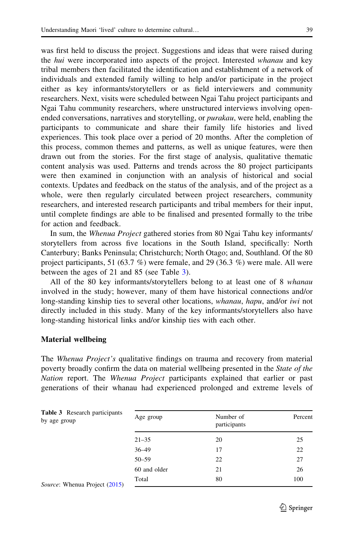was first held to discuss the project. Suggestions and ideas that were raised during the *hui* were incorporated into aspects of the project. Interested *whanau* and key tribal members then facilitated the identification and establishment of a network of individuals and extended family willing to help and/or participate in the project either as key informants/storytellers or as field interviewers and community researchers. Next, visits were scheduled between Ngai Tahu project participants and Ngai Tahu community researchers, where unstructured interviews involving openended conversations, narratives and storytelling, or *purakau*, were held, enabling the participants to communicate and share their family life histories and lived experiences. This took place over a period of 20 months. After the completion of this process, common themes and patterns, as well as unique features, were then drawn out from the stories. For the first stage of analysis, qualitative thematic content analysis was used. Patterns and trends across the 80 project participants were then examined in conjunction with an analysis of historical and social contexts. Updates and feedback on the status of the analysis, and of the project as a whole, were then regularly circulated between project researchers, community researchers, and interested research participants and tribal members for their input, until complete findings are able to be finalised and presented formally to the tribe for action and feedback.

In sum, the Whenua Project gathered stories from 80 Ngai Tahu key informants/ storytellers from across five locations in the South Island, specifically: North Canterbury; Banks Peninsula; Christchurch; North Otago; and, Southland. Of the 80 project participants, 51 (63.7 %) were female, and 29 (36.3 %) were male. All were between the ages of 21 and 85 (see Table 3).

All of the 80 key informants/storytellers belong to at least one of 8 *whanau* involved in the study; however, many of them have historical connections and/or long-standing kinship ties to several other locations, whanau, hapu, and/or iwi not directly included in this study. Many of the key informants/storytellers also have long-standing historical links and/or kinship ties with each other.

#### Material wellbeing

The Whenua Project's qualitative findings on trauma and recovery from material poverty broadly confirm the data on material wellbeing presented in the State of the Nation report. The Whenua Project participants explained that earlier or past generations of their whanau had experienced prolonged and extreme levels of

| <b>Table 3</b> Research participants<br>by age group | Age group    | Number of<br>participants | Percent |
|------------------------------------------------------|--------------|---------------------------|---------|
|                                                      | $21 - 35$    | 20                        | 25      |
|                                                      | $36 - 49$    | 17                        | 22      |
|                                                      | $50 - 59$    | 22                        | 27      |
|                                                      | 60 and older | 21                        | 26      |
| <i>Source:</i> Whenua Project (2015)                 | Total        | 80                        | 100     |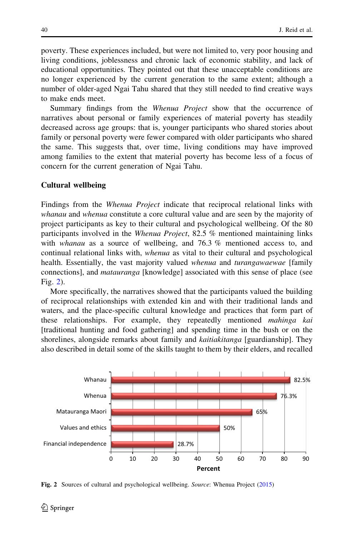poverty. These experiences included, but were not limited to, very poor housing and living conditions, joblessness and chronic lack of economic stability, and lack of educational opportunities. They pointed out that these unacceptable conditions are no longer experienced by the current generation to the same extent; although a number of older-aged Ngai Tahu shared that they still needed to find creative ways to make ends meet.

Summary findings from the Whenua Project show that the occurrence of narratives about personal or family experiences of material poverty has steadily decreased across age groups: that is, younger participants who shared stories about family or personal poverty were fewer compared with older participants who shared the same. This suggests that, over time, living conditions may have improved among families to the extent that material poverty has become less of a focus of concern for the current generation of Ngai Tahu.

#### Cultural wellbeing

Findings from the Whenua Project indicate that reciprocal relational links with whanau and whenua constitute a core cultural value and are seen by the majority of project participants as key to their cultural and psychological wellbeing. Of the 80 participants involved in the Whenua Project, 82.5 % mentioned maintaining links with *whanau* as a source of wellbeing, and 76.3 % mentioned access to, and continual relational links with, whenua as vital to their cultural and psychological health. Essentially, the vast majority valued whenua and turangawaewae [family connections], and matauranga [knowledge] associated with this sense of place (see Fig. 2).

More specifically, the narratives showed that the participants valued the building of reciprocal relationships with extended kin and with their traditional lands and waters, and the place-specific cultural knowledge and practices that form part of these relationships. For example, they repeatedly mentioned mahinga kai [traditional hunting and food gathering] and spending time in the bush or on the shorelines, alongside remarks about family and *kaitiakitanga* [guardianship]. They also described in detail some of the skills taught to them by their elders, and recalled



Fig. 2 Sources of cultural and psychological wellbeing. Source: Whenua Project ([2015\)](#page-18-0)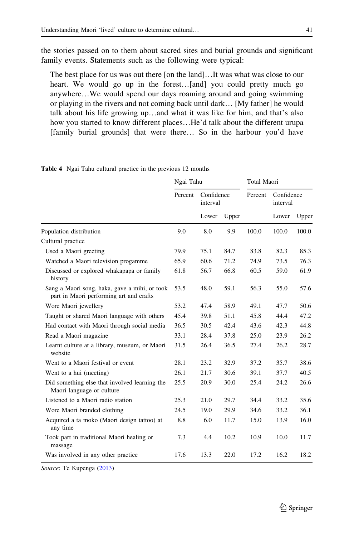<span id="page-10-0"></span>The best place for us was out there [on the land]…It was what was close to our heart. We would go up in the forest…[and] you could pretty much go anywhere…We would spend our days roaming around and going swimming or playing in the rivers and not coming back until dark… [My father] he would talk about his life growing up…and what it was like for him, and that's also how you started to know different places…He'd talk about the different urupa [family burial grounds] that were there… So in the harbour you'd have

|                                                                                          | Ngai Tahu |                        |       | Total Maori |                        |       |
|------------------------------------------------------------------------------------------|-----------|------------------------|-------|-------------|------------------------|-------|
|                                                                                          | Percent   | Confidence<br>interval |       | Percent     | Confidence<br>interval |       |
|                                                                                          |           | Lower                  | Upper |             | Lower                  | Upper |
| Population distribution                                                                  | 9.0       | 8.0                    | 9.9   | 100.0       | 100.0                  | 100.0 |
| Cultural practice                                                                        |           |                        |       |             |                        |       |
| Used a Maori greeting                                                                    | 79.9      | 75.1                   | 84.7  | 83.8        | 82.3                   | 85.3  |
| Watched a Maori television progamme                                                      | 65.9      | 60.6                   | 71.2  | 74.9        | 73.5                   | 76.3  |
| Discussed or explored whakapapa or family<br>history                                     | 61.8      | 56.7                   | 66.8  | 60.5        | 59.0                   | 61.9  |
| Sang a Maori song, haka, gave a mihi, or took<br>part in Maori performing art and crafts | 53.5      | 48.0                   | 59.1  | 56.3        | 55.0                   | 57.6  |
| Wore Maori jewellery                                                                     | 53.2      | 47.4                   | 58.9  | 49.1        | 47.7                   | 50.6  |
| Taught or shared Maori language with others                                              | 45.4      | 39.8                   | 51.1  | 45.8        | 44.4                   | 47.2  |
| Had contact with Maori through social media                                              | 36.5      | 30.5                   | 42.4  | 43.6        | 42.3                   | 44.8  |
| Read a Maori magazine                                                                    | 33.1      | 28.4                   | 37.8  | 25.0        | 23.9                   | 26.2  |
| Learnt culture at a library, museum, or Maori<br>website                                 | 31.5      | 26.4                   | 36.5  | 27.4        | 26.2                   | 28.7  |
| Went to a Maori festival or event                                                        | 28.1      | 23.2                   | 32.9  | 37.2        | 35.7                   | 38.6  |
| Went to a hui (meeting)                                                                  | 26.1      | 21.7                   | 30.6  | 39.1        | 37.7                   | 40.5  |
| Did something else that involved learning the<br>Maori language or culture               | 25.5      | 20.9                   | 30.0  | 25.4        | 24.2                   | 26.6  |
| Listened to a Maori radio station                                                        | 25.3      | 21.0                   | 29.7  | 34.4        | 33.2                   | 35.6  |
| Wore Maori branded clothing                                                              | 24.5      | 19.0                   | 29.9  | 34.6        | 33.2                   | 36.1  |
| Acquired a ta moko (Maori design tattoo) at<br>any time                                  | 8.8       | 6.0                    | 11.7  | 15.0        | 13.9                   | 16.0  |
| Took part in traditional Maori healing or<br>massage                                     | 7.3       | 4.4                    | 10.2  | 10.9        | 10.0                   | 11.7  |
| Was involved in any other practice                                                       | 17.6      | 13.3                   | 22.0  | 17.2        | 16.2                   | 18.2  |

Table 4 Ngai Tahu cultural practice in the previous 12 months

Source: Te Kupenga [\(2013](#page-17-0))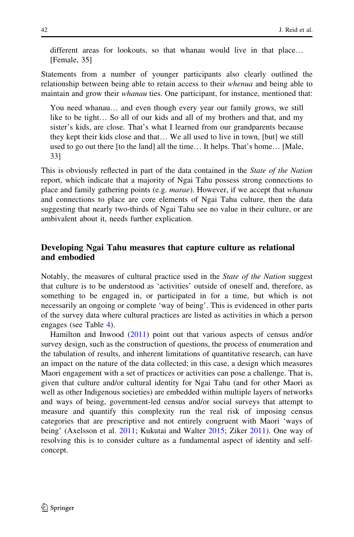different areas for lookouts, so that whanau would live in that place… [Female, 35]

Statements from a number of younger participants also clearly outlined the relationship between being able to retain access to their *whenua* and being able to maintain and grow their *whanau* ties. One participant, for instance, mentioned that:

You need whanau… and even though every year our family grows, we still like to be tight... So all of our kids and all of my brothers and that, and my sister's kids, are close. That's what I learned from our grandparents because they kept their kids close and that… We all used to live in town, [but] we still used to go out there [to the land] all the time… It helps. That's home… [Male, 33]

This is obviously reflected in part of the data contained in the *State of the Nation* report, which indicate that a majority of Ngai Tahu possess strong connections to place and family gathering points (e.g. *marae*). However, if we accept that *whanau* and connections to place are core elements of Ngai Tahu culture, then the data suggesting that nearly two-thirds of Ngai Tahu see no value in their culture, or are ambivalent about it, needs further explication.

# Developing Ngai Tahu measures that capture culture as relational and embodied

Notably, the measures of cultural practice used in the *State of the Nation* suggest that culture is to be understood as 'activities' outside of oneself and, therefore, as something to be engaged in, or participated in for a time, but which is not necessarily an ongoing or complete 'way of being'. This is evidenced in other parts of the survey data where cultural practices are listed as activities in which a person engages (see Table [4](#page-10-0)).

Hamilton and Inwood ([2011\)](#page-17-0) point out that various aspects of census and/or survey design, such as the construction of questions, the process of enumeration and the tabulation of results, and inherent limitations of quantitative research, can have an impact on the nature of the data collected; in this case, a design which measures Maori engagement with a set of practices or activities can pose a challenge. That is, given that culture and/or cultural identity for Ngai Tahu (and for other Maori as well as other Indigenous societies) are embedded within multiple layers of networks and ways of being, government-led census and/or social surveys that attempt to measure and quantify this complexity run the real risk of imposing census categories that are prescriptive and not entirely congruent with Maori 'ways of being' (Axelsson et al. [2011](#page-16-0); Kukutai and Walter [2015;](#page-17-0) Ziker [2011](#page-18-0)). One way of resolving this is to consider culture as a fundamental aspect of identity and selfconcept.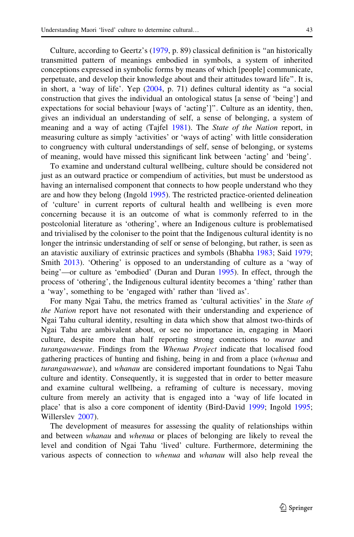Culture, according to Geertz's [\(1979](#page-17-0), p. 89) classical definition is ''an historically transmitted pattern of meanings embodied in symbols, a system of inherited conceptions expressed in symbolic forms by means of which [people] communicate, perpetuate, and develop their knowledge about and their attitudes toward life''. It is, in short, a 'way of life'. Yep [\(2004](#page-18-0), p. 71) defines cultural identity as ''a social construction that gives the individual an ontological status [a sense of 'being'] and expectations for social behaviour [ways of 'acting']''. Culture as an identity, then, gives an individual an understanding of self, a sense of belonging, a system of meaning and a way of acting (Tajfel [1981](#page-17-0)). The State of the Nation report, in measuring culture as simply 'activities' or 'ways of acting' with little consideration to congruency with cultural understandings of self, sense of belonging, or systems of meaning, would have missed this significant link between 'acting' and 'being'.

To examine and understand cultural wellbeing, culture should be considered not just as an outward practice or compendium of activities, but must be understood as having an internalised component that connects to how people understand who they are and how they belong (Ingold [1995\)](#page-17-0). The restricted practice-oriented delineation of 'culture' in current reports of cultural health and wellbeing is even more concerning because it is an outcome of what is commonly referred to in the postcolonial literature as 'othering', where an Indigenous culture is problematised and trivialised by the coloniser to the point that the Indigenous cultural identity is no longer the intrinsic understanding of self or sense of belonging, but rather, is seen as an atavistic auxiliary of extrinsic practices and symbols (Bhabha [1983;](#page-16-0) Said [1979;](#page-17-0) Smith [2013](#page-17-0)). 'Othering' is opposed to an understanding of culture as a 'way of being'—or culture as 'embodied' (Duran and Duran [1995\)](#page-17-0). In effect, through the process of 'othering', the Indigenous cultural identity becomes a 'thing' rather than a 'way', something to be 'engaged with' rather than 'lived as'.

For many Ngai Tahu, the metrics framed as 'cultural activities' in the State of the Nation report have not resonated with their understanding and experience of Ngai Tahu cultural identity, resulting in data which show that almost two-thirds of Ngai Tahu are ambivalent about, or see no importance in, engaging in Maori culture, despite more than half reporting strong connections to marae and turangawaewae. Findings from the Whenua Project indicate that localised food gathering practices of hunting and fishing, being in and from a place (whenua and turangawaewae), and whanau are considered important foundations to Ngai Tahu culture and identity. Consequently, it is suggested that in order to better measure and examine cultural wellbeing, a reframing of culture is necessary, moving culture from merely an activity that is engaged into a 'way of life located in place' that is also a core component of identity (Bird-David [1999](#page-16-0); Ingold [1995;](#page-17-0) Willerslev [2007\)](#page-18-0).

The development of measures for assessing the quality of relationships within and between *whanau* and *whenua* or places of belonging are likely to reveal the level and condition of Ngai Tahu 'lived' culture. Furthermore, determining the various aspects of connection to whenua and whanau will also help reveal the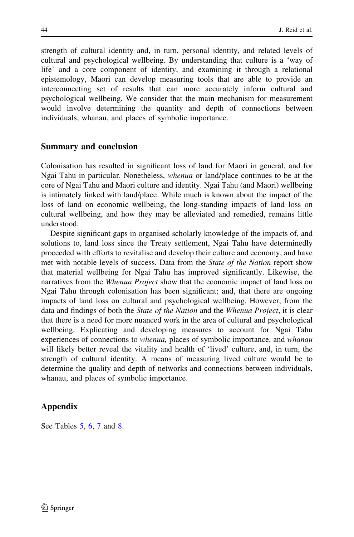<span id="page-13-0"></span>strength of cultural identity and, in turn, personal identity, and related levels of cultural and psychological wellbeing. By understanding that culture is a 'way of life' and a core component of identity, and examining it through a relational epistemology, Maori can develop measuring tools that are able to provide an interconnecting set of results that can more accurately inform cultural and psychological wellbeing. We consider that the main mechanism for measurement would involve determining the quantity and depth of connections between individuals, whanau, and places of symbolic importance.

#### Summary and conclusion

Colonisation has resulted in significant loss of land for Maori in general, and for Ngai Tahu in particular. Nonetheless, whenua or land/place continues to be at the core of Ngai Tahu and Maori culture and identity. Ngai Tahu (and Maori) wellbeing is intimately linked with land/place. While much is known about the impact of the loss of land on economic wellbeing, the long-standing impacts of land loss on cultural wellbeing, and how they may be alleviated and remedied, remains little understood.

Despite significant gaps in organised scholarly knowledge of the impacts of, and solutions to, land loss since the Treaty settlement, Ngai Tahu have determinedly proceeded with efforts to revitalise and develop their culture and economy, and have met with notable levels of success. Data from the *State of the Nation* report show that material wellbeing for Ngai Tahu has improved significantly. Likewise, the narratives from the *Whenua Project* show that the economic impact of land loss on Ngai Tahu through colonisation has been significant; and, that there are ongoing impacts of land loss on cultural and psychological wellbeing. However, from the data and findings of both the *State of the Nation* and the *Whenua Project*, it is clear that there is a need for more nuanced work in the area of cultural and psychological wellbeing. Explicating and developing measures to account for Ngai Tahu experiences of connections to *whenua*, places of symbolic importance, and *whanau* will likely better reveal the vitality and health of 'lived' culture, and, in turn, the strength of cultural identity. A means of measuring lived culture would be to determine the quality and depth of networks and connections between individuals, whanau, and places of symbolic importance.

# Appendix

See Tables [5,](#page-14-0) [6,](#page-15-0) [7](#page-16-0) and [8](#page-16-0).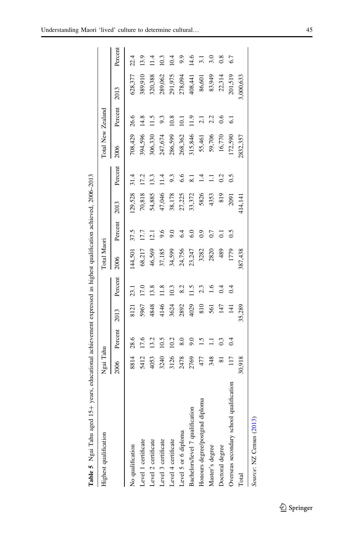<span id="page-14-0"></span>

| Highest qualification                   | Ngai Tahu |         |                 |                | <b>Total Maori</b> |                |         |                          | Total New Zealand |                |          |                  |
|-----------------------------------------|-----------|---------|-----------------|----------------|--------------------|----------------|---------|--------------------------|-------------------|----------------|----------|------------------|
|                                         | 2006      | Percent | 2013            | Percent        | 2006               | Percent        | 2013    | Percent                  | 2006              | Percent        | 2013     | Percent          |
| No qualification                        | 8814      | 28.6    | 8121            | 23.1           | 144,501            | 37.5           | 129,528 | 31.4                     | 708,429           | 26.6           | 628,377  | 22.4             |
| Level 1 certificate                     | 5412      | 17.6    | 5967            | 17.0           | 68,217             | 17.7           | 70,818  | 17.2                     | 394,596           | 14.8           | 389,910  | 13.9             |
| Level 2 certificate                     | 4053      | 13.2    | 4848            | 13.8           | 46,569             | 12.1           | 54,885  | 13.3                     | 306,330           | 11.5           | 320,388  | $\frac{4}{11}$   |
| Level 3 certificate                     | 3240      | 10.5    | 4146            | 11.8           | 37,185             | 9.6            | 47,046  | $\frac{4}{11}$           | 247,674           | 9.3            | 289,062  | $\approx$        |
| Level 4 certificate                     | 3126      | 10.2    | 3624            | 10.3           | 34,599             | $\overline{6}$ | 38,178  | 9.3                      | 286,599           | 10.8           | 291,975  |                  |
| Level 5 or 6 diploma                    | 2478      | 8.0     | 2892            | 8.2            | 24,756             | 6.4            | 27,225  | 6.6                      | 268,362           | 10.1           | 278,094  |                  |
| Bachelors/level 7 qualification         | 2769      | 0.6     | 4029            | $\frac{5}{11}$ | 23,247             | 6.0            | 33,372  | $\overline{\phantom{0}}$ | 315,846           | 11.9           | 408,441  | 14.6             |
| Honours degree/postgrad diploma         | 477       | 1.5     | 810             | 2.3            | 3282               | $_{0.9}$       | 5826    | $\overline{14}$          | 55,461            | $\overline{c}$ | 86,601   |                  |
| Master's degree                         | 348       |         | 561             | 1.6            | 2820               | 0.7            | 4353    | $\Xi$                    | 59,706            | 2.2            | 83,949   | $\overline{3.0}$ |
| Doctoral degree                         | ∞         |         | 147             | $\ddot{0.4}$   | 489                |                | 819     | 0.2                      | 16,770            | 0.6            | 22,314   |                  |
| Overseas secondary school qualification | 117       | े<br>२  | $\overline{14}$ | $\ddot{0.4}$   | 1779               | 0.5            | 2091    | 0.5                      | 172,590           | 5              | 201,519  |                  |
| Total                                   | 30,918    |         | 35,289          |                | 387,438            |                | 414,141 |                          | 1832,357          |                | ,000,633 |                  |
|                                         |           |         |                 |                |                    |                |         |                          |                   |                |          |                  |

Table 5 Ngai Tahu aged 15 Table 5 Ngai Tahu aged 15+ years, educational achievement expressed as highest qualification achieved, 2006-2013 years, educational achievement expressed as highest qualification achieved, 2006–2013

Source: NZ Census (2013) Source: NZ Census ([2013\)](#page-17-0)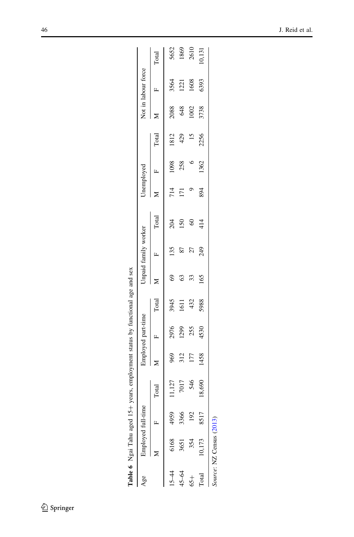<span id="page-15-0"></span>

|           |                          |                    | Table 6 Ngai Tahu aged 15+ years, employment status by functional age and sex |      |                    |                  |                 |                      |                  |            |      |                |        |                     |        |
|-----------|--------------------------|--------------------|-------------------------------------------------------------------------------|------|--------------------|------------------|-----------------|----------------------|------------------|------------|------|----------------|--------|---------------------|--------|
| Age       |                          | Employed full-time |                                                                               |      | Employed part-time |                  |                 | Unpaid family worker |                  | Unemployed |      |                |        | Not in labour force |        |
|           |                          | $\mathbf{r}$       | Total                                                                         | Σ    | $\mathbf{r}$       | Total            | $\mathbf{z}$    | $\frac{1}{\sqrt{2}}$ | Total            | $M$ F      |      | Total          | $\geq$ | $\mathbb{L}$        | Total  |
| $15 - 44$ |                          | 6168 4959          | 11,127                                                                        | 969  | 2976               | 3945             | $\mathcal{S}^9$ | 135                  | 204              | 714        | 1098 | 1812           | 2088   | 3564                | 5652   |
| 45-64     | 3651                     | 3366               | 7017                                                                          | 312  | 1299               | $\overline{161}$ | 63              | 87                   | $\overline{150}$ | 171        | 258  | 429            | 648    | 1221                | 1869   |
| $65+$     |                          |                    | 546                                                                           | 177  | 255                | 432              | 33              | 27                   | 8                |            |      | $\frac{15}{2}$ | 1002   | 1608                | 2610   |
| Total     | 10,173 8517              |                    | 18,690                                                                        | 1458 | 4530               | 5988             | 165             | 249                  | 414              | 894        | 1362 | 2256           | 3738   | 6393                | 10,131 |
|           | Source: NZ Census (2013) |                    |                                                                               |      |                    |                  |                 |                      |                  |            |      |                |        |                     |        |

| į                      |
|------------------------|
|                        |
| unctional are and cov- |
|                        |
|                        |
|                        |
| $\cdots$<br>;<br>;     |
| ł                      |
| i<br>:                 |
| í<br>I                 |
|                        |
| י<br>ו<br>Í            |

 $\underline{\textcircled{\tiny 2}}$  Springer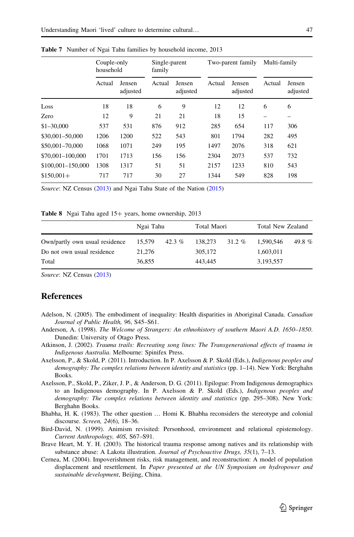|                   | Couple-only<br>household |                    | Single-parent<br>family |                    |        | Two-parent family  | Multi-family |                    |
|-------------------|--------------------------|--------------------|-------------------------|--------------------|--------|--------------------|--------------|--------------------|
|                   | Actual                   | Jensen<br>adjusted | Actual                  | Jensen<br>adjusted | Actual | Jensen<br>adjusted | Actual       | Jensen<br>adjusted |
| Loss              | 18                       | 18                 | 6                       | 9                  | 12     | 12                 | 6            | 6                  |
| Zero              | 12                       | 9                  | 21                      | 21                 | 18     | 15                 |              |                    |
| $$1 - 30,000$     | 537                      | 531                | 876                     | 912                | 285    | 654                | 117          | 306                |
| \$30,001-50,000   | 1206                     | 1200               | 522                     | 543                | 801    | 1794               | 282          | 495                |
| \$50,001-70,000   | 1068                     | 1071               | 249                     | 195                | 1497   | 2076               | 318          | 621                |
| \$70,001-100,000  | 1701                     | 1713               | 156                     | 156                | 2304   | 2073               | 537          | 732                |
| \$100,001-150,000 | 1308                     | 1317               | 51                      | 51                 | 2157   | 1233               | 810          | 543                |
| $$150.001+$       | 717                      | 717                | 30                      | 27                 | 1344   | 549                | 828          | 198                |

<span id="page-16-0"></span>Table 7 Number of Ngai Tahu families by household income, 2013

Source: NZ Census ([2013](#page-17-0)) and Ngai Tahu State of the Nation [\(2015](#page-17-0))

Table 8 Ngai Tahu aged 15+ years, home ownership, 2013

|                                | Ngai Tahu |          | Total Maori |       | Total New Zealand |       |
|--------------------------------|-----------|----------|-------------|-------|-------------------|-------|
| Own/partly own usual residence | 15,579    | 42.3 $%$ | 138,273     | 31.2% | 1.590.546         | 49.8% |
| Do not own usual residence     | 21,276    |          | 305,172     |       | 1,603,011         |       |
| Total                          | 36.855    |          | 443,445     |       | 3,193,557         |       |

Source: NZ Census ([2013](#page-17-0))

## References

- Adelson, N. (2005). The embodiment of inequality: Health disparities in Aboriginal Canada. *Canadian* Journal of Public Health, 96, S45–S61.
- Anderson, A. (1998). The Welcome of Strangers: An ethnohistory of southern Maori A.D. 1650–1850. Dunedin: University of Otago Press.
- Atkinson, J. (2002). Trauma trails: Recreating song lines: The Transgenerational effects of trauma in Indigenous Australia. Melbourne: Spinifex Press.
- Axelsson, P., & Skold, P. (2011). Introduction. In P. Axelsson & P. Skold (Eds.), Indigenous peoples and demography: The complex relations between identity and statistics (pp. 1–14). New York: Berghahn Books.
- Axelsson, P., Skold, P., Ziker, J. P., & Anderson, D. G. (2011). Epilogue: From Indigenous demographics to an Indigenous demography. In P. Axelsson & P. Skold (Eds.), Indigenous peoples and demography: The complex relations between identity and statistics (pp. 295–308). New York: Berghahn Books.
- Bhabha, H. K. (1983). The other question … Homi K. Bhabha reconsiders the stereotype and colonial discourse. Screen, 24(6), 18–36.
- Bird-David, N. (1999). Animism revisited: Personhood, environment and relational epistemology. Current Anthropology, 40S, S67–S91.
- Brave Heart, M. Y. H. (2003). The historical trauma response among natives and its relationship with substance abuse: A Lakota illustration. Journal of Psychoactive Drugs, 35(1), 7–13.
- Cernea, M. (2004). Impoverishment risks, risk management, and reconstruction: A model of population displacement and resettlement. In Paper presented at the UN Symposium on hydropower and sustainable development, Beijing, China.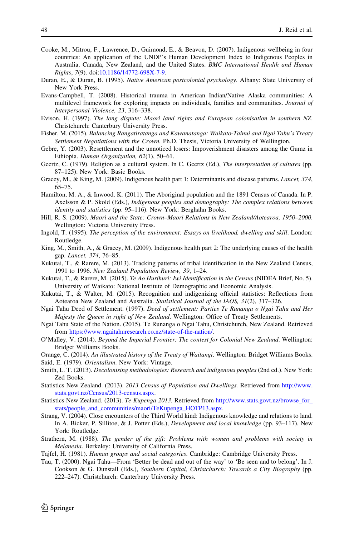- <span id="page-17-0"></span>Cooke, M., Mitrou, F., Lawrence, D., Guimond, E., & Beavon, D. (2007). Indigenous wellbeing in four countries: An application of the UNDP's Human Development Index to Indigenous Peoples in Australia, Canada, New Zealand, and the United States. BMC International Health and Human Rights, 7(9). doi[:10.1186/14772-698X-7-9.](http://dx.doi.org/10.1186/14772-698X-7-9)
- Duran, E., & Duran, B. (1995). Native American postcolonial psychology. Albany: State University of New York Press.
- Evans-Campbell, T. (2008). Historical trauma in American Indian/Native Alaska communities: A multilevel framework for exploring impacts on individuals, families and communities. Journal of Interpersonal Violence, 23, 316–338.
- Evison, H. (1997). The long dispute: Maori land rights and European colonisation in southern NZ. Christchurch: Canterbury University Press.
- Fisher, M. (2015). Balancing Rangatiratanga and Kawanatanga: Waikato-Tainui and Ngai Tahu's Treaty Settlement Negotiations with the Crown. Ph.D. Thesis, Victoria University of Wellington.
- Gebre, Y. (2003). Resettlement and the unnoticed losers: Impoverishment disasters among the Gumz in Ethiopia. Human Organization, 62(1), 50–61.
- Geertz, C. (1979). Religion as a cultural system. In C. Geertz (Ed.), The interpretation of cultures (pp. 87–125). New York: Basic Books.
- Gracey, M., & King, M. (2009). Indigenous health part 1: Determinants and disease patterns. Lancet, 374, 65–75.
- Hamilton, M. A., & Inwood, K. (2011). The Aboriginal population and the 1891 Census of Canada. In P. Axelsson & P. Skold (Eds.), Indigenous peoples and demography: The complex relations between identity and statistics (pp. 95-116). New York: Berghahn Books.
- Hill, R. S. (2009). Maori and the State: Crown–Maori Relations in New Zealand/Aotearoa, 1950–2000. Wellington: Victoria University Press.
- Ingold, T. (1995). The perception of the environment: Essays on livelihood, dwelling and skill. London: Routledge.
- King, M., Smith, A., & Gracey, M. (2009). Indigenous health part 2: The underlying causes of the health gap. Lancet, 374, 76–85.
- Kukutai, T., & Rarere, M. (2013). Tracking patterns of tribal identification in the New Zealand Census, 1991 to 1996. New Zealand Population Review, 39, 1–24.
- Kukutai, T., & Rarere, M. (2015). Te Ao Hurihuri: Iwi Identification in the Census (NIDEA Brief, No. 5). University of Waikato: National Institute of Demographic and Economic Analysis.
- Kukutai, T., & Walter, M. (2015). Recognition and indigenizing official statistics: Reflections from Aotearoa New Zealand and Australia. Statistical Journal of the IAOS, 31(2), 317–326.
- Ngai Tahu Deed of Settlement. (1997). Deed of settlement: Parties Te Runanga o Ngai Tahu and Her Majesty the Queen in right of New Zealand. Wellington: Office of Treaty Settlements.
- Ngai Tahu State of the Nation. (2015). Te Runanga o Ngai Tahu, Christchurch, New Zealand. Retrieved from [https://www.ngaitahuresearch.co.nz/state-of-the-nation/.](https://www.ngaitahuresearch.co.nz/state-of-the-nation/)
- O'Malley, V. (2014). Beyond the Imperial Frontier: The contest for Colonial New Zealand. Wellington: Bridget Williams Books.
- Orange, C. (2014). An illustrated history of the Treaty of Waitangi. Wellington: Bridget Williams Books. Said, E. (1979). Orientalism. New York: Vintage.
- Smith, L. T. (2013). Decolonising methodologies: Research and indigenous peoples (2nd ed.). New York: Zed Books.
- Statistics New Zealand. (2013). 2013 Census of Population and Dwellings. Retrieved from [http://www.](http://www.stats.govt.nz/Census/2013-census.aspx) [stats.govt.nz/Census/2013-census.aspx.](http://www.stats.govt.nz/Census/2013-census.aspx)
- Statistics New Zealand. (2013). Te Kupenga 2013. Retrieved from [http://www.stats.govt.nz/browse\\_for\\_](http://www.stats.govt.nz/browse_for_stats/people_and_communities/maori/TeKupenga_HOTP13.aspx) [stats/people\\_and\\_communities/maori/TeKupenga\\_HOTP13.aspx.](http://www.stats.govt.nz/browse_for_stats/people_and_communities/maori/TeKupenga_HOTP13.aspx)
- Strang, V. (2004). Close encounters of the Third World kind: Indigenous knowledge and relations to land. In A. Bicker, P. Sillitoe, & J. Potter (Eds.), Development and local knowledge (pp. 93–117). New York: Routledge.
- Strathern, M. (1988). The gender of the gift: Problems with women and problems with society in Melanesia. Berkeley: University of California Press.
- Tajfel, H. (1981). Human groups and social categories. Cambridge: Cambridge University Press.
- Tau, T. (2000). Ngai Tahu—From 'Better be dead and out of the way' to 'Be seen and to belong'. In J. Cookson & G. Dunstall (Eds.), Southern Capital, Christchurch: Towards a City Biography (pp. 222–247). Christchurch: Canterbury University Press.